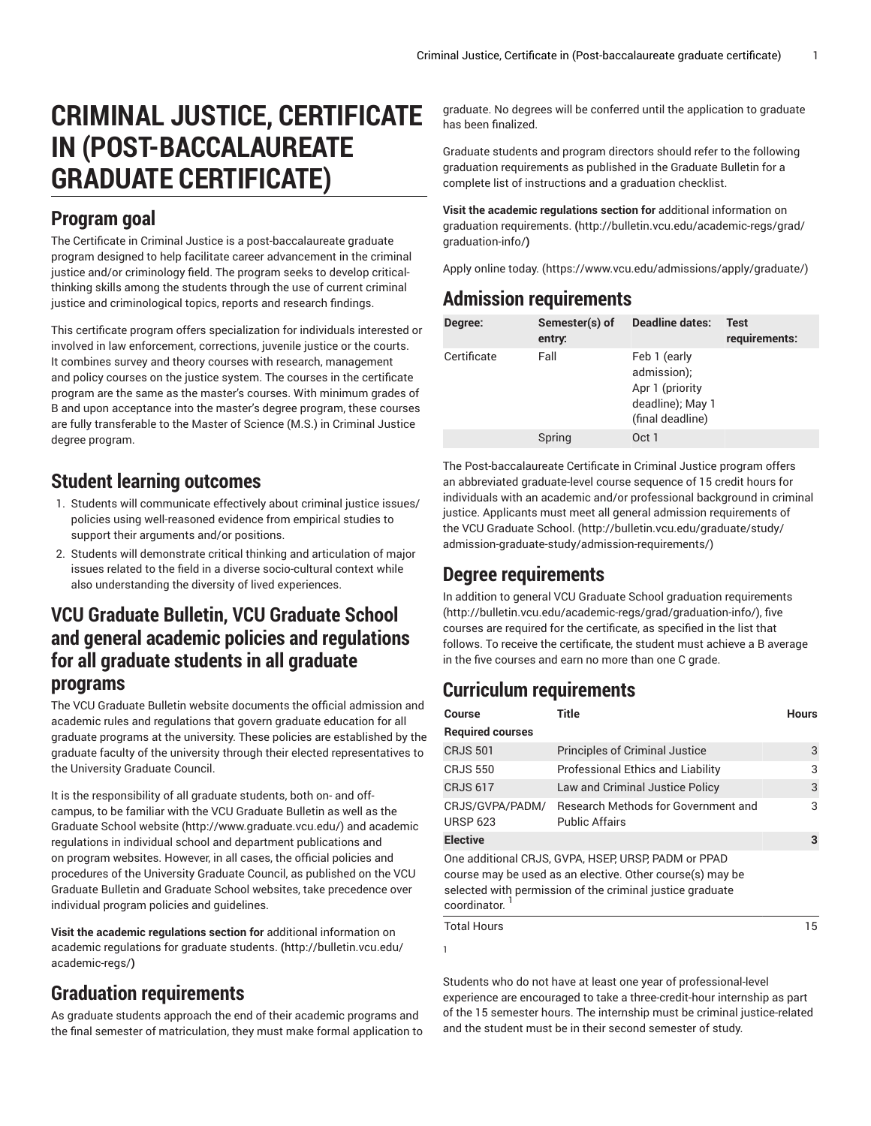# **CRIMINAL JUSTICE, CERTIFICATE IN (POST-BACCALAUREATE GRADUATE CERTIFICATE)**

#### **Program goal**

The Certificate in Criminal Justice is a post-baccalaureate graduate program designed to help facilitate career advancement in the criminal justice and/or criminology field. The program seeks to develop criticalthinking skills among the students through the use of current criminal justice and criminological topics, reports and research findings.

This certificate program offers specialization for individuals interested or involved in law enforcement, corrections, juvenile justice or the courts. It combines survey and theory courses with research, management and policy courses on the justice system. The courses in the certificate program are the same as the master's courses. With minimum grades of B and upon acceptance into the master's degree program, these courses are fully transferable to the Master of Science (M.S.) in Criminal Justice degree program.

#### **Student learning outcomes**

- 1. Students will communicate effectively about criminal justice issues/ policies using well-reasoned evidence from empirical studies to support their arguments and/or positions.
- 2. Students will demonstrate critical thinking and articulation of major issues related to the field in a diverse socio-cultural context while also understanding the diversity of lived experiences.

#### **VCU Graduate Bulletin, VCU Graduate School and general academic policies and regulations for all graduate students in all graduate programs**

The VCU Graduate Bulletin website documents the official admission and academic rules and regulations that govern graduate education for all graduate programs at the university. These policies are established by the graduate faculty of the university through their elected representatives to the University Graduate Council.

It is the responsibility of all graduate students, both on- and offcampus, to be familiar with the VCU Graduate Bulletin as well as the [Graduate School website \(http://www.graduate.vcu.edu/](http://www.graduate.vcu.edu/)) and academic regulations in individual school and department publications and on program websites. However, in all cases, the official policies and procedures of the University Graduate Council, as published on the VCU Graduate Bulletin and Graduate School websites, take precedence over individual program policies and guidelines.

**Visit the academic regulations section for** [additional information on](http://bulletin.vcu.edu/academic-regs/) academic [regulations](http://bulletin.vcu.edu/academic-regs/) for graduate students. **(**[http://bulletin.vcu.edu/](http://bulletin.vcu.edu/academic-regs/) [academic-regs/](http://bulletin.vcu.edu/academic-regs/)**)**

### **Graduation requirements**

As graduate students approach the end of their academic programs and the final semester of matriculation, they must make formal application to

graduate. No degrees will be conferred until the application to graduate has been finalized.

Graduate students and program directors should refer to the following graduation requirements as published in the Graduate Bulletin for a complete list of instructions and a graduation checklist.

**Visit the academic regulations section for** [additional information on](http://bulletin.vcu.edu/academic-regs/grad/graduation-info/) graduation [requirements.](http://bulletin.vcu.edu/academic-regs/grad/graduation-info/) **(**[http://bulletin.vcu.edu/academic-regs/grad/](http://bulletin.vcu.edu/academic-regs/grad/graduation-info/) [graduation-info/](http://bulletin.vcu.edu/academic-regs/grad/graduation-info/)**)**

Apply [online](https://www.vcu.edu/admissions/apply/graduate/) today. ([https://www.vcu.edu/admissions/apply/graduate/\)](https://www.vcu.edu/admissions/apply/graduate/)

#### **Admission requirements**

| Degree:     | Semester(s) of<br>entry: | <b>Deadline dates:</b>                                                                 | Test<br>requirements: |
|-------------|--------------------------|----------------------------------------------------------------------------------------|-----------------------|
| Certificate | Fall                     | Feb 1 (early<br>admission);<br>Apr 1 (priority<br>deadline); May 1<br>(final deadline) |                       |
|             | Spring                   | Oct 1                                                                                  |                       |

The Post-baccalaureate Certificate in Criminal Justice program offers an abbreviated graduate-level course sequence of 15 credit hours for individuals with an academic and/or professional background in criminal justice. Applicants must meet all general admission [requirements](http://bulletin.vcu.edu/graduate/study/admission-graduate-study/admission-requirements/) of the VCU [Graduate](http://bulletin.vcu.edu/graduate/study/admission-graduate-study/admission-requirements/) School. [\(http://bulletin.vcu.edu/graduate/study/](http://bulletin.vcu.edu/graduate/study/admission-graduate-study/admission-requirements/) [admission-graduate-study/admission-requirements/](http://bulletin.vcu.edu/graduate/study/admission-graduate-study/admission-requirements/))

#### **Degree requirements**

In addition to general VCU Graduate School graduation [requirements](http://bulletin.vcu.edu/academic-regs/grad/graduation-info/) [\(http://bulletin.vcu.edu/academic-regs/grad/graduation-info/\)](http://bulletin.vcu.edu/academic-regs/grad/graduation-info/), five courses are required for the certificate, as specified in the list that follows. To receive the certificate, the student must achieve a B average in the five courses and earn no more than one C grade.

## **Curriculum requirements**

| Course                             | Title                                                                                                                                                                         | <b>Hours</b> |
|------------------------------------|-------------------------------------------------------------------------------------------------------------------------------------------------------------------------------|--------------|
| <b>Required courses</b>            |                                                                                                                                                                               |              |
| <b>CRJS 501</b>                    | <b>Principles of Criminal Justice</b>                                                                                                                                         | 3            |
| <b>CRJS 550</b>                    | <b>Professional Ethics and Liability</b>                                                                                                                                      | 3            |
| <b>CRJS 617</b>                    | Law and Criminal Justice Policy                                                                                                                                               | 3            |
| CRJS/GVPA/PADM/<br><b>URSP 623</b> | Research Methods for Government and<br><b>Public Affairs</b>                                                                                                                  | 3            |
| <b>Elective</b>                    |                                                                                                                                                                               | 3            |
| coordinator.                       | One additional CRJS, GVPA, HSEP, URSP, PADM or PPAD<br>course may be used as an elective. Other course(s) may be<br>selected with permission of the criminal justice graduate |              |
| <b>Total Hours</b>                 |                                                                                                                                                                               | 15           |
| 1                                  |                                                                                                                                                                               |              |

Students who do not have at least one year of professional-level experience are encouraged to take a three-credit-hour internship as part of the 15 semester hours. The internship must be criminal justice-related and the student must be in their second semester of study.